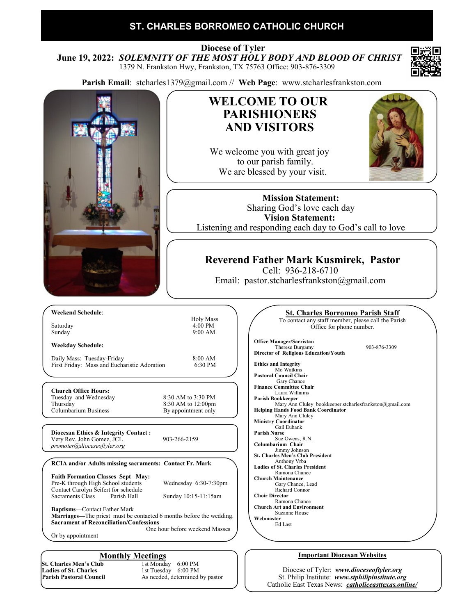## **ST. CHARLES BORROMEO CATHOLIC CHURCH**

 **Diocese of Tyler June 19, 2022:** *SOLEMNITY OF THE MOST HOLY BODY AND BLOOD OF CHRIST* 1379 N. Frankston Hwy, Frankston, TX 75763 Office: 903-876-3309

**Parish Email**: stcharles1379@gmail.com // **Web Page**: www.stcharlesfrankston.com



Catholic East Texas News: *catholiceasttexas.online/*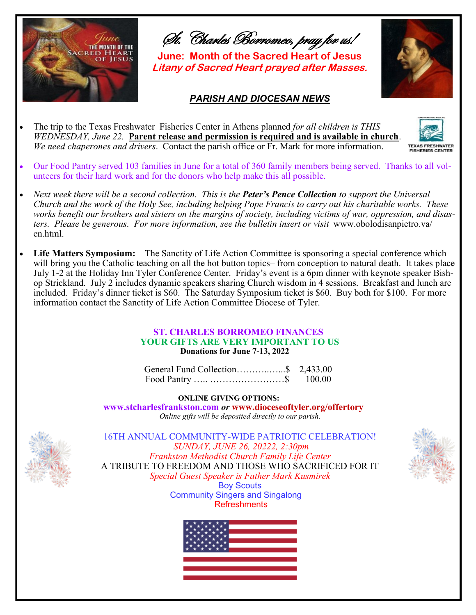

St. Charles Borromeo, pray for us!

**June: Month of the Sacred Heart of Jesus Litany of Sacred Heart prayed after Masses.**

### *PARISH AND DIOCESAN NEWS*





- Our Food Pantry served 103 families in June for a total of 360 family members being served. Thanks to all volunteers for their hard work and for the donors who help make this all possible.
- *Next week there will be a second collection. This is the Peter's Pence Collection to support the Universal Church and the work of the Holy See, including helping Pope Francis to carry out his charitable works. These works benefit our brothers and sisters on the margins of society, including victims of war, oppression, and disasters. Please be generous. For more information, see the bulletin insert or visit* www.obolodisanpietro.va/ en.html.
- **Life Matters Symposium:** The Sanctity of Life Action Committee is sponsoring a special conference which will bring you the Catholic teaching on all the hot button topics– from conception to natural death. It takes place July 1-2 at the Holiday Inn Tyler Conference Center. Friday's event is a 6pm dinner with keynote speaker Bishop Strickland. July 2 includes dynamic speakers sharing Church wisdom in 4 sessions. Breakfast and lunch are included. Friday's dinner ticket is \$60. The Saturday Symposium ticket is \$60. Buy both for \$100. For more information contact the Sanctity of Life Action Committee Diocese of Tyler.

### **ST. CHARLES BORROMEO FINANCES YOUR GIFTS ARE VERY IMPORTANT TO US Donations for June 7-13, 2022**

| General Fund Collection\$ 2,433.00 |        |
|------------------------------------|--------|
|                                    | 100.00 |

**ONLINE GIVING OPTIONS:** 

 **www.stcharlesfrankston.com** *or* **www.dioceseoftyler.org/offertory** *Online gifts will be deposited directly to our parish.*



16TH ANNUAL COMMUNITY-WIDE PATRIOTIC CELEBRATION! *SUNDAY, JUNE 26, 20222, 2:30pm Frankston Methodist Church Family Life Center*  A TRIBUTE TO FREEDOM AND THOSE WHO SACRIFICED FOR IT *Special Guest Speaker is Father Mark Kusmirek* Boy Scouts Community Singers and Singalong **Refreshments** 



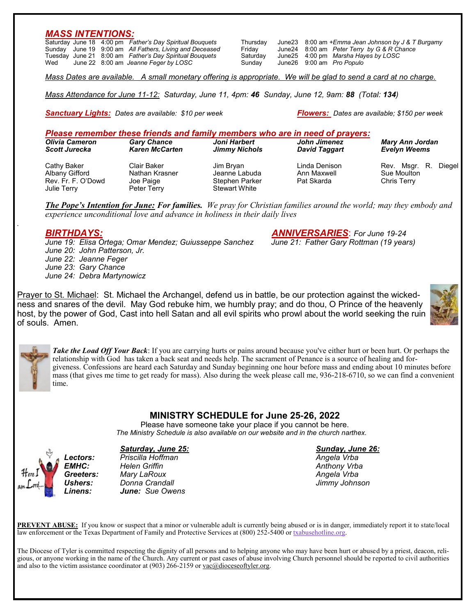### *MASS INTENTIONS:*

Saturday June 18 4:00 pm *Father's Day Spiritual Bouquets* Thursday June23 8:00 am *+Emma Jean Johnson by J & T Burgamy* Sunday June 19 9:00 am *All Fathers, Living and Deceased* Friday June24 8:00 am *Peter Terry by G & R Chance* Tuesday June 21 8:00 am *Father's Day Spiritual Bouquets* Saturday June25 4:00 pm *Marsha Hayes by LOSC* June 22 8:00 am *Jeanne Feger by LOSC* 

*Mass Dates are available. A small monetary offering is appropriate. We will be glad to send a card at no charge.*

*Mass Attendance for June 11-12: Saturday, June 11, 4pm: 46 Sunday, June 12, 9am: 88 (Total: 134)*

*Sanctuary Lights: Dates are available: \$10 per week Flowers: Dates are available; \$150 per week*

### *Please remember these friends and family members who are in need of prayers:*

| Olivia Cameron                                                     | <b>Gary Chance</b>                                        | Joni Harbert                                                         | John Jimenez                               | <b>Mary Ann Jordan</b>                                  |
|--------------------------------------------------------------------|-----------------------------------------------------------|----------------------------------------------------------------------|--------------------------------------------|---------------------------------------------------------|
| <b>Scott Jurecka</b>                                               | <b>Karen McCarten</b>                                     | <b>Jimmy Nichols</b>                                                 | <b>David Taggart</b>                       | <b>Evelyn Weems</b>                                     |
| Cathy Baker<br>Albany Gifford<br>Rev. Fr. F. O'Dowd<br>Julie Terry | Clair Baker<br>Nathan Krasner<br>Joe Paige<br>Peter Terry | Jim Brvan<br>Jeanne Labuda<br>Stephen Parker<br><b>Stewart White</b> | Linda Denison<br>Ann Maxwell<br>Pat Skarda | Rev. Msgr. R.<br>Diegel I<br>Sue Moulton<br>Chris Terry |

*The Pope's Intention for June: For families. We pray for Christian families around the world; may they embody and experience unconditional love and advance in holiness in their daily lives*

*June 19: Elisa Ortega; Omar Mendez; Guiusseppe Sanchez June 21: Father Gary Rottman (19 years) June 20: John Patterson, Jr. June 22: Jeanne Feger June 23: Gary Chance June 24: Debra Martynowicz*

*BIRTHDAYS: ANNIVERSARIES*: *For June 19-24*

Prayer to St. Michael: St. Michael the Archangel, defend us in battle, be our protection against the wickedness and snares of the devil. May God rebuke him, we humbly pray; and do thou, O Prince of the heavenly host, by the power of God, Cast into hell Satan and all evil spirits who prowl about the world seeking the ruin of souls. Amen.





*.*

*Take the Load Off Your Back*: If you are carrying hurts or pains around because you've either hurt or been hurt. Or perhaps the relationship with God has taken a back seat and needs help. The sacrament of Penance is a source of healing and forgiveness. Confessions are heard each Saturday and Sunday beginning one hour before mass and ending about 10 minutes before mass (that gives me time to get ready for mass). Also during the week please call me, 936-218-6710, so we can find a convenient time.

## **MINISTRY SCHEDULE for June 25-26, 2022**

Please have someone take your place if you cannot be here.  *The Ministry Schedule is also available on our website and in the church narthex.*





*Lectors: Priscilla Hoffman Angela Vrba EMHC: Helen Griffin Anthony Vrba Greeters: Mary LaRoux Angela Vrba Ushers: Donna Crandall Jimmy Johnson Linens: June: Sue Owens*

**PREVENT ABUSE:** If you know or suspect that a minor or vulnerable adult is currently being abused or is in danger, immediately report it to state/local law enforcement or the Texas Department of Family and Protective Services at (800) 252-5400 or [txabusehotline.org.](http://txabusehotline.org/)

The Diocese of Tyler is committed respecting the dignity of all persons and to helping anyone who may have been hurt or abused by a priest, deacon, religious, or anyone working in the name of the Church. Any current or past cases of abuse involving Church personnel should be reported to civil authorities and also to the victim assistance coordinator at  $(903)$  266-2159 or vac $@$ dioceseoftyler.org.